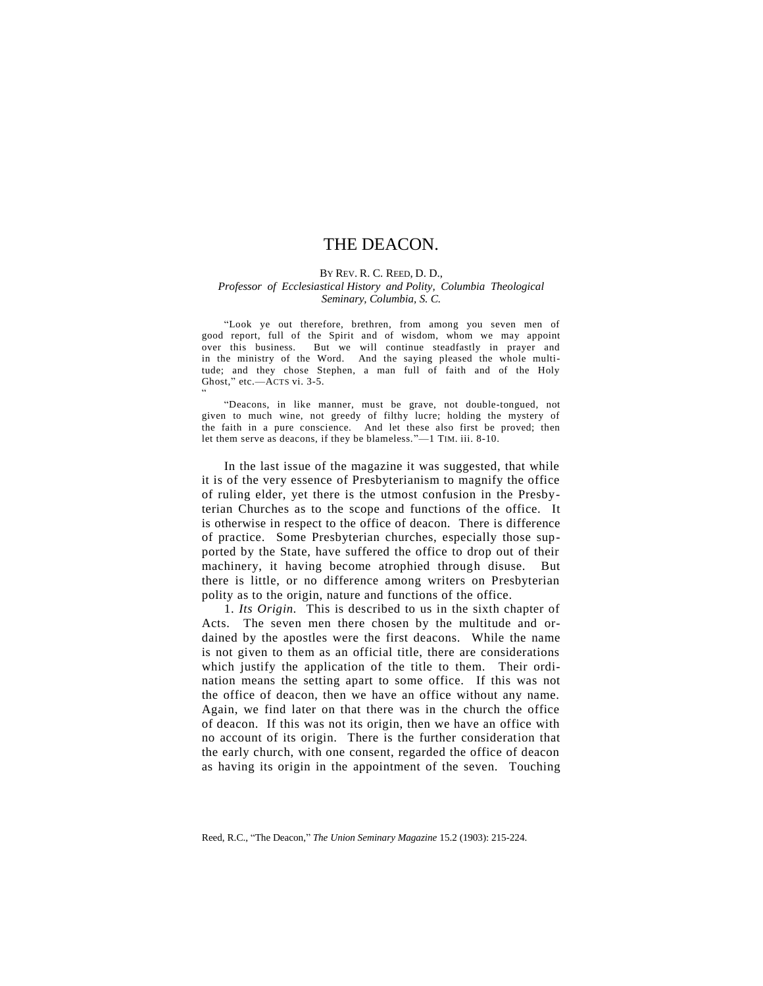#### BY REV. R. C. REED, D. D., *Professor of Ecclesiastical History and Polity, Columbia Theological Seminary, Columbia, S. C.*

"Look ye out therefore, brethren, from among you seven men of good report, full of the Spirit and of wisdom, whom we may appoint over this business. But we will continue steadfastly in prayer and in the ministry of the Word. And the saying pleased the whole multitude; and they chose Stephen, a man full of faith and of the Holy Ghost," etc.—ACTS vi. 3-5.  $\ddot{\phantom{0}}$ 

"Deacons, in like manner, must be grave, not double-tongued, not given to much wine, not greedy of filthy lucre; holding the mystery of the faith in a pure conscience. And let these also first be proved; then let them serve as deacons, if they be blameless."—1 TIM. iii. 8-10.

In the last issue of the magazine it was suggested, that while it is of the very essence of Presbyterianism to magnify the office of ruling elder, yet there is the utmost confusion in the Presbyterian Churches as to the scope and functions of the office. It is otherwise in respect to the office of deacon. There is difference of practice. Some Presbyterian churches, especially those supported by the State, have suffered the office to drop out of their machinery, it having become atrophied through disuse. But there is little, or no difference among writers on Presbyterian polity as to the origin, nature and functions of the office.

1. *Its Origin.* This is described to us in the sixth chapter of Acts. The seven men there chosen by the multitude and ordained by the apostles were the first deacons. While the name is not given to them as an official title, there are considerations which justify the application of the title to them. Their ordination means the setting apart to some office. If this was not the office of deacon, then we have an office without any name. Again, we find later on that there was in the church the office of deacon. If this was not its origin, then we have an office with no account of its origin. There is the further consideration that the early church, with one consent, regarded the office of deacon as having its origin in the appointment of the seven. Touching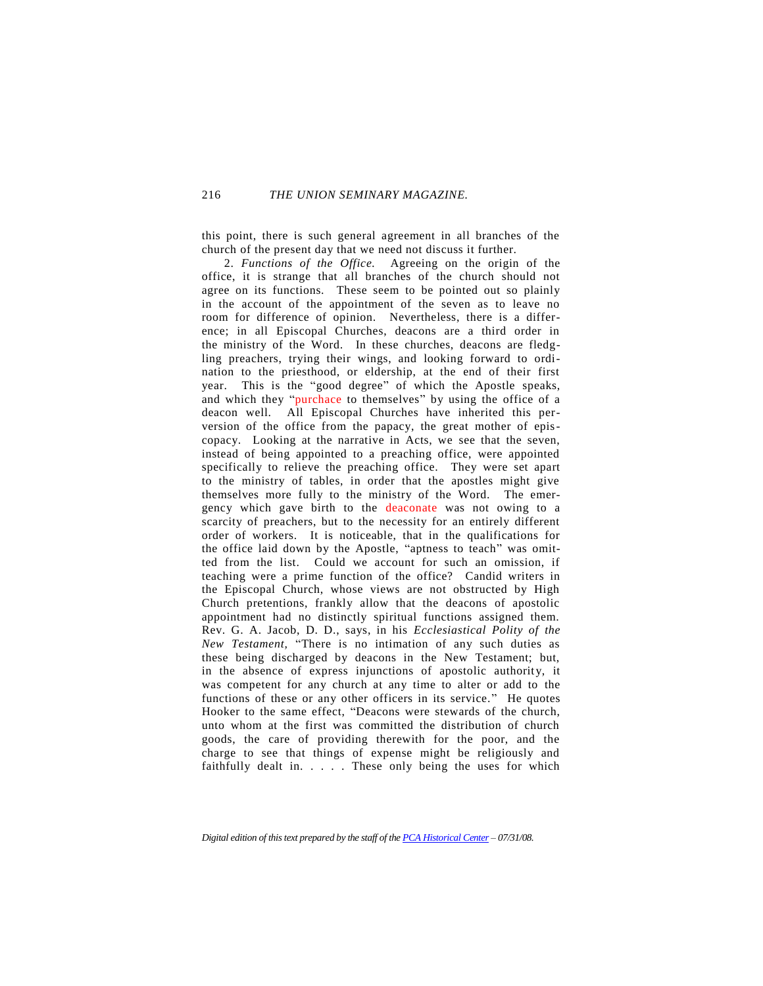this point, there is such general agreement in all branches of the church of the present day that we need not discuss it further.

2. *Functions of the Office.* Agreeing on the origin of the office, it is strange that all branches of the church should not agree on its functions. These seem to be pointed out so plainly in the account of the appointment of the seven as to leave no room for difference of opinion. Nevertheless, there is a difference; in all Episcopal Churches, deacons are a third order in the ministry of the Word. In these churches, deacons are fledgling preachers, trying their wings, and looking forward to ordination to the priesthood, or eldership, at the end of their first year. This is the "good degree" of which the Apostle speaks, and which they "purchace to themselves" by using the office of a deacon well. All Episcopal Churches have inherited this perversion of the office from the papacy, the great mother of episcopacy. Looking at the narrative in Acts, we see that the seven, instead of being appointed to a preaching office, were appointed specifically to relieve the preaching office. They were set apart to the ministry of tables, in order that the apostles might give themselves more fully to the ministry of the Word. The emergency which gave birth to the deaconate was not owing to a scarcity of preachers, but to the necessity for an entirely different order of workers. It is noticeable, that in the qualifications for the office laid down by the Apostle, "aptness to teach" was omitted from the list. Could we account for such an omission, if teaching were a prime function of the office? Candid writers in the Episcopal Church, whose views are not obstructed by High Church pretentions, frankly allow that the deacons of apostolic appointment had no distinctly spiritual functions assigned them. Rev. G. A. Jacob, D. D., says, in his *Ecclesiastical Polity of the New Testament,* "There is no intimation of any such duties as these being discharged by deacons in the New Testament; but, in the absence of express injunctions of apostolic authority, it was competent for any church at any time to alter or add to the functions of these or any other officers in its service." He quotes Hooker to the same effect, "Deacons were stewards of the church, unto whom at the first was committed the distribution of church goods, the care of providing therewith for the poor, and the charge to see that things of expense might be religiously and faithfully dealt in. . . . . These only being the uses for which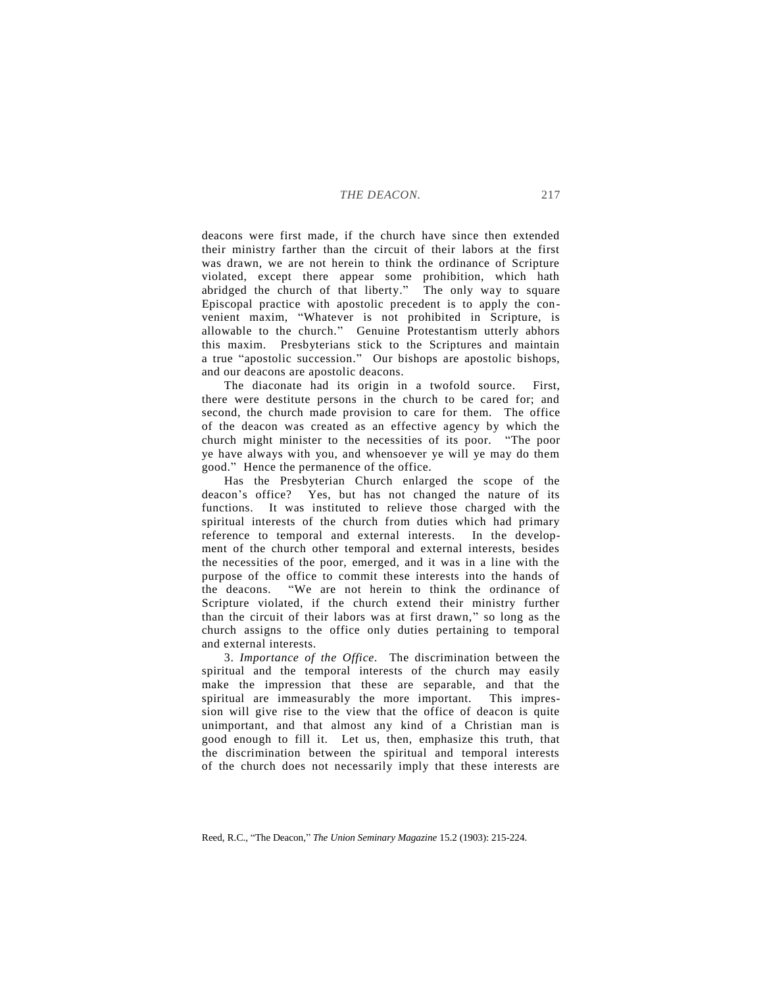deacons were first made, if the church have since then extended their ministry farther than the circuit of their labors at the first was drawn, we are not herein to think the ordinance of Scripture violated, except there appear some prohibition, which hath abridged the church of that liberty." The only way to square Episcopal practice with apostolic precedent is to apply the convenient maxim, "Whatever is not prohibited in Scripture, is allowable to the church." Genuine Protestantism utterly abhors this maxim. Presbyterians stick to the Scriptures and maintain a true "apostolic succession." Our bishops are apostolic bishops, and our deacons are apostolic deacons.

The diaconate had its origin in a twofold source. First, there were destitute persons in the church to be cared for; and second, the church made provision to care for them. The office of the deacon was created as an effective agency by which the church might minister to the necessities of its poor. "The poor ye have always with you, and whensoever ye will ye may do them good." Hence the permanence of the office.

Has the Presbyterian Church enlarged the scope of the deacon's office? Yes, but has not changed the nature of its functions. It was instituted to relieve those charged with the spiritual interests of the church from duties which had primary reference to temporal and external interests. In the development of the church other temporal and external interests, besides the necessities of the poor, emerged, and it was in a line with the purpose of the office to commit these interests into the hands of the deacons. "We are not herein to think the ordinance of Scripture violated, if the church extend their ministry further than the circuit of their labors was at first drawn," so long as the church assigns to the office only duties pertaining to temporal and external interests.

3. *Importance of the Office.* The discrimination between the spiritual and the temporal interests of the church may easily make the impression that these are separable, and that the spiritual are immeasurably the more important. This impression will give rise to the view that the office of deacon is quite unimportant, and that almost any kind of a Christian man is good enough to fill it. Let us, then, emphasize this truth, that the discrimination between the spiritual and temporal interests of the church does not necessarily imply that these interests are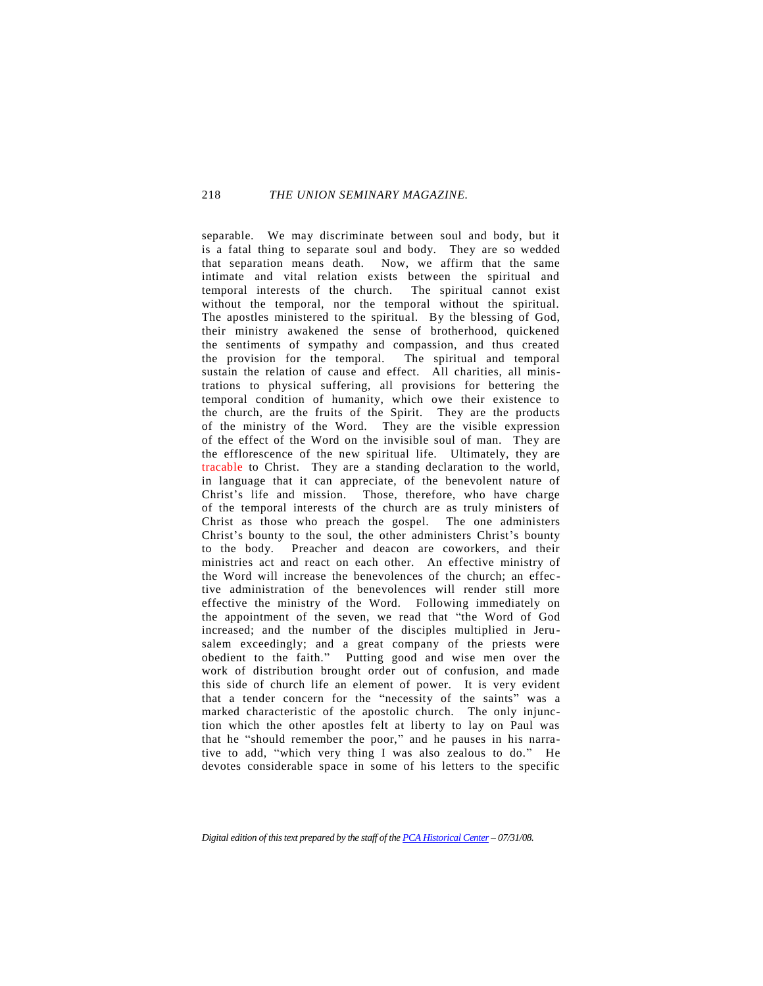separable. We may discriminate between soul and body, but it is a fatal thing to separate soul and body. They are so wedded that separation means death. Now, we affirm that the same intimate and vital relation exists between the spiritual and temporal interests of the church. The spiritual cannot exist without the temporal, nor the temporal without the spiritual. The apostles ministered to the spiritual. By the blessing of God, their ministry awakened the sense of brotherhood, quickened the sentiments of sympathy and compassion, and thus created the provision for the temporal. The spiritual and temporal sustain the relation of cause and effect. All charities, all ministrations to physical suffering, all provisions for bettering the temporal condition of humanity, which owe their existence to the church, are the fruits of the Spirit. They are the products of the ministry of the Word. They are the visible expression of the effect of the Word on the invisible soul of man. They are the efflorescence of the new spiritual life. Ultimately, they are tracable to Christ. They are a standing declaration to the world, in language that it can appreciate, of the benevolent nature of Christ's life and mission. Those, therefore, who have charge of the temporal interests of the church are as truly ministers of Christ as those who preach the gospel. The one administers Christ's bounty to the soul, the other administers Christ's bounty to the body. Preacher and deacon are coworkers, and their ministries act and react on each other. An effective ministry of the Word will increase the benevolences of the church; an effec tive administration of the benevolences will render still more effective the ministry of the Word. Following immediately on the appointment of the seven, we read that "the Word of God increased; and the number of the disciples multiplied in Jerusalem exceedingly; and a great company of the priests were obedient to the faith." Putting good and wise men over the work of distribution brought order out of confusion, and made this side of church life an element of power. It is very evident that a tender concern for the "necessity of the saints" was a marked characteristic of the apostolic church. The only injunction which the other apostles felt at liberty to lay on Paul was that he "should remember the poor," and he pauses in his narrative to add, "which very thing I was also zealous to do." He devotes considerable space in some of his letters to the specific

*Digital edition of this text prepared by the staff of the PCA Historical Center – 07/31/08.*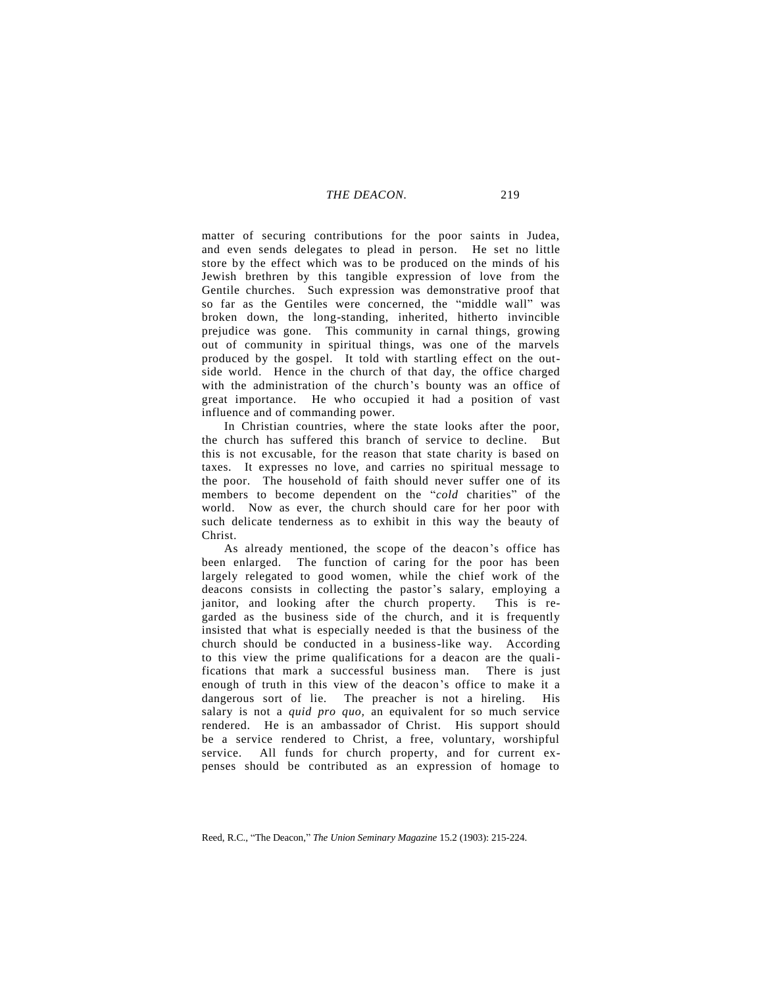matter of securing contributions for the poor saints in Judea, and even sends delegates to plead in person. He set no little store by the effect which was to be produced on the minds of his Jewish brethren by this tangible expression of love from the Gentile churches. Such expression was demonstrative proof that so far as the Gentiles were concerned, the "middle wall" was broken down, the long-standing, inherited, hitherto invincible prejudice was gone. This community in carnal things, growing out of community in spiritual things, was one of the marvels produced by the gospel. It told with startling effect on the outside world. Hence in the church of that day, the office charged with the administration of the church's bounty was an office of great importance. He who occupied it had a position of vast influence and of commanding power.

In Christian countries, where the state looks after the poor, the church has suffered this branch of service to decline. But this is not excusable, for the reason that state charity is based on taxes. It expresses no love, and carries no spiritual message to the poor. The household of faith should never suffer one of its members to become dependent on the "*cold* charities" of the world. Now as ever, the church should care for her poor with such delicate tenderness as to exhibit in this way the beauty of Christ.

As already mentioned, the scope of the deacon's office has been enlarged. The function of caring for the poor has been largely relegated to good women, while the chief work of the deacons consists in collecting the pastor's salary, employing a janitor, and looking after the church property. This is regarded as the business side of the church, and it is frequently insisted that what is especially needed is that the business of the church should be conducted in a business-like way. According to this view the prime qualifications for a deacon are the qualifications that mark a successful business man. There is just enough of truth in this view of the deacon's office to make it a dangerous sort of lie. The preacher is not a hireling. His salary is not a *quid pro quo,* an equivalent for so much service rendered. He is an ambassador of Christ. His support should be a service rendered to Christ, a free, voluntary, worshipful service. All funds for church property, and for current expenses should be contributed as an expression of homage to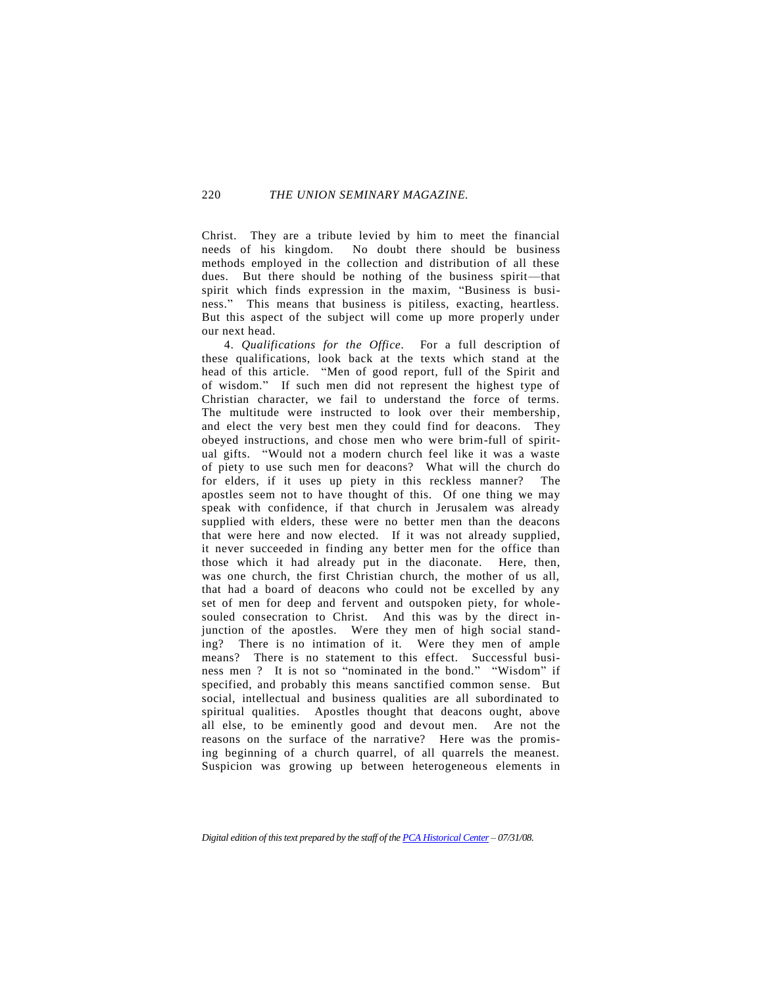Christ. They are a tribute levied by him to meet the financial needs of his kingdom. No doubt there should be business methods employed in the collection and distribution of all these dues. But there should be nothing of the business spirit—that spirit which finds expression in the maxim, "Business is business." This means that business is pitiless, exacting, heartless. But this aspect of the subject will come up more properly under our next head.

4. *Qualifications for the Office.* For a full description of these qualifications, look back at the texts which stand at the head of this article. "Men of good report, full of the Spirit and of wisdom." If such men did not represent the highest type of Christian character, we fail to understand the force of terms. The multitude were instructed to look over their membership, and elect the very best men they could find for deacons. They obeyed instructions, and chose men who were brim-full of spiritual gifts. "Would not a modern church feel like it was a waste of piety to use such men for deacons? What will the church do for elders, if it uses up piety in this reckless manner? The apostles seem not to have thought of this. Of one thing we may speak with confidence, if that church in Jerusalem was already supplied with elders, these were no better men than the deacons that were here and now elected. If it was not already supplied, it never succeeded in finding any better men for the office than those which it had already put in the diaconate. Here, then, was one church, the first Christian church, the mother of us all, that had a board of deacons who could not be excelled by any set of men for deep and fervent and outspoken piety, for wholesouled consecration to Christ. And this was by the direct injunction of the apostles. Were they men of high social standing? There is no intimation of it. Were they men of ample means? There is no statement to this effect. Successful business men ? It is not so "nominated in the bond." "Wisdom" if specified, and probably this means sanctified common sense. But social, intellectual and business qualities are all subordinated to spiritual qualities. Apostles thought that deacons ought, above all else, to be eminently good and devout men. Are not the reasons on the surface of the narrative? Here was the promising beginning of a church quarrel, of all quarrels the meanest. Suspicion was growing up between heterogeneous elements in

*Digital edition of this text prepared by the staff of the PCA Historical Center – 07/31/08.*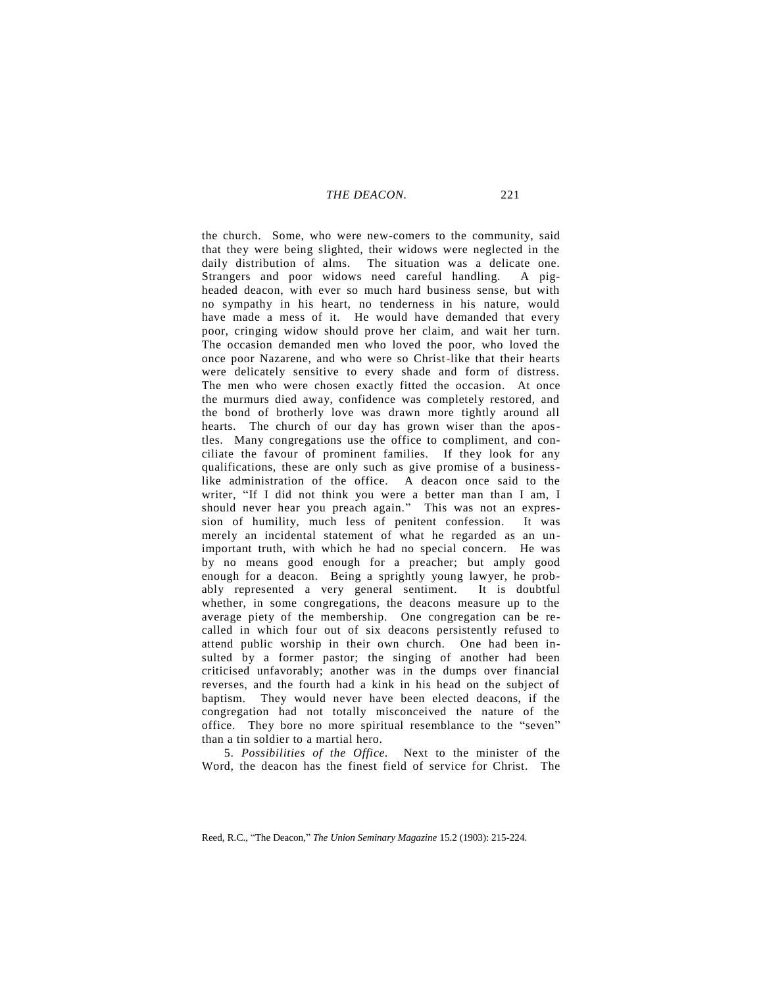the church. Some, who were new-comers to the community, said that they were being slighted, their widows were neglected in the daily distribution of alms. The situation was a delicate one. Strangers and poor widows need careful handling. A pigheaded deacon, with ever so much hard business sense, but with no sympathy in his heart, no tenderness in his nature, would have made a mess of it. He would have demanded that every poor, cringing widow should prove her claim, and wait her turn. The occasion demanded men who loved the poor, who loved the once poor Nazarene, and who were so Christ-like that their hearts were delicately sensitive to every shade and form of distress. The men who were chosen exactly fitted the occasion. At once the murmurs died away, confidence was completely restored, and the bond of brotherly love was drawn more tightly around all hearts. The church of our day has grown wiser than the apostles. Many congregations use the office to compliment, and conciliate the favour of prominent families. If they look for any qualifications, these are only such as give promise of a businesslike administration of the office. A deacon once said to the writer, "If I did not think you were a better man than I am, I should never hear you preach again." This was not an expression of humility, much less of penitent confession. It was merely an incidental statement of what he regarded as an unimportant truth, with which he had no special concern. He was by no means good enough for a preacher; but amply good enough for a deacon. Being a sprightly young lawyer, he probably represented a very general sentiment. It is doubtful whether, in some congregations, the deacons measure up to the average piety of the membership. One congregation can be recalled in which four out of six deacons persistently refused to attend public worship in their own church. One had been insulted by a former pastor; the singing of another had been criticised unfavorably; another was in the dumps over financial reverses, and the fourth had a kink in his head on the subject of baptism. They would never have been elected deacons, if the congregation had not totally misconceived the nature of the office. They bore no more spiritual resemblance to the "seven" than a tin soldier to a martial hero.

5. *Possibilities of the Office.* Next to the minister of the Word, the deacon has the finest field of service for Christ. The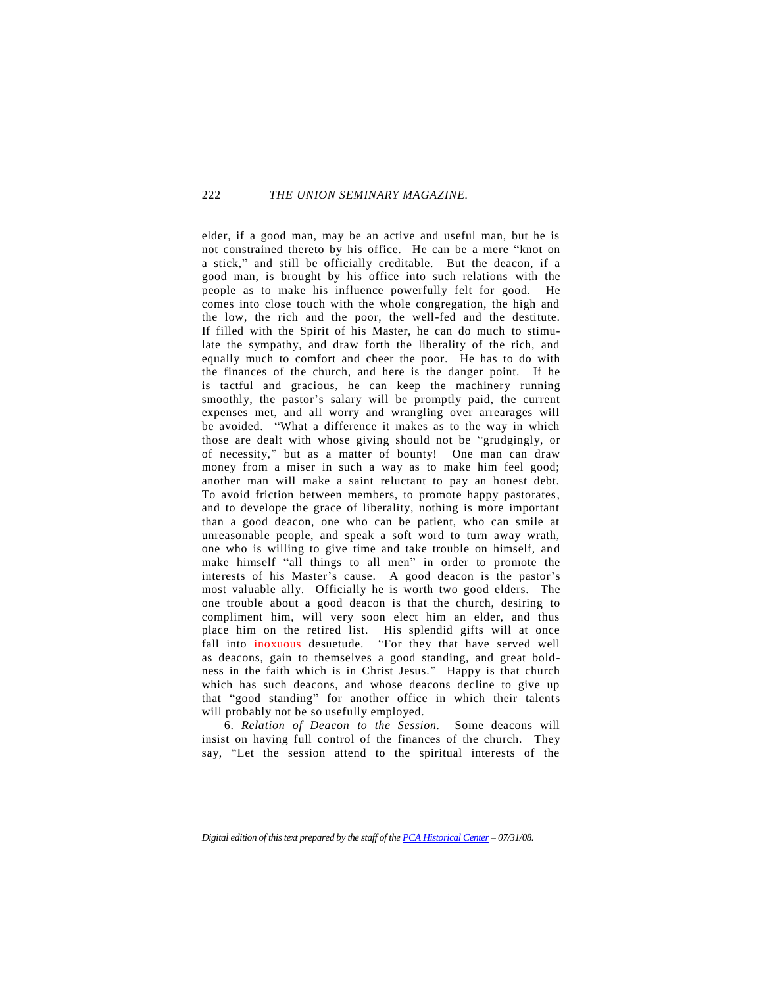elder, if a good man, may be an active and useful man, but he is not constrained thereto by his office. He can be a mere "knot on a stick," and still be officially creditable. But the deacon, if a good man, is brought by his office into such relations with the people as to make his influence powerfully felt for good. He comes into close touch with the whole congregation, the high and the low, the rich and the poor, the well-fed and the destitute. If filled with the Spirit of his Master, he can do much to stimulate the sympathy, and draw forth the liberality of the rich, and equally much to comfort and cheer the poor. He has to do with the finances of the church, and here is the danger point. If he is tactful and gracious, he can keep the machinery running smoothly, the pastor's salary will be promptly paid, the current expenses met, and all worry and wrangling over arrearages will be avoided. "What a difference it makes as to the way in which those are dealt with whose giving should not be "grudgingly, or of necessity," but as a matter of bounty! One man can draw money from a miser in such a way as to make him feel good; another man will make a saint reluctant to pay an honest debt. To avoid friction between members, to promote happy pastorates, and to develope the grace of liberality, nothing is more important than a good deacon, one who can be patient, who can smile at unreasonable people, and speak a soft word to turn away wrath, one who is willing to give time and take trouble on himself, an d make himself "all things to all men" in order to promote the interests of his Master's cause. A good deacon is the pastor's most valuable ally. Officially he is worth two good elders. The one trouble about a good deacon is that the church, desiring to compliment him, will very soon elect him an elder, and thus place him on the retired list. His splendid gifts will at once fall into inoxuous desuetude. "For they that have served well as deacons, gain to themselves a good standing, and great bold ness in the faith which is in Christ Jesus." Happy is that church which has such deacons, and whose deacons decline to give up that "good standing" for another office in which their talents will probably not be so usefully employed.

6. *Relation of Deacon to the Session.* Some deacons will insist on having full control of the finances of the church. They say, "Let the session attend to the spiritual interests of the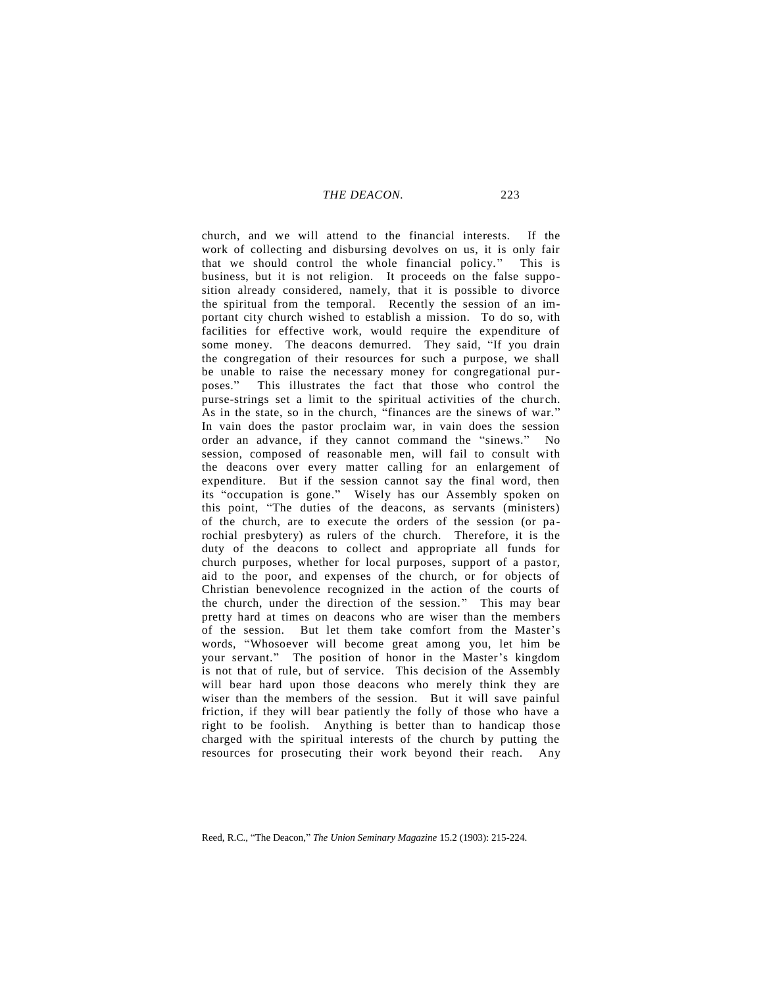church, and we will attend to the financial interests. If the work of collecting and disbursing devolves on us, it is only fair that we should control the whole financial policy." This is business, but it is not religion. It proceeds on the false supposition already considered, namely, that it is possible to divorce the spiritual from the temporal. Recently the session of an important city church wished to establish a mission. To do so, with facilities for effective work, would require the expenditure of some money. The deacons demurred. They said, "If you drain the congregation of their resources for such a purpose, we shall be unable to raise the necessary money for congregational purposes." This illustrates the fact that those who control the purse-strings set a limit to the spiritual activities of the church. As in the state, so in the church, "finances are the sinews of war." In vain does the pastor proclaim war, in vain does the session order an advance, if they cannot command the "sinews." No session, composed of reasonable men, will fail to consult with the deacons over every matter calling for an enlargement of expenditure. But if the session cannot say the final word, then its "occupation is gone." Wisely has our Assembly spoken on this point, "The duties of the deacons, as servants (ministers) of the church, are to execute the orders of the session (or parochial presbytery) as rulers of the church. Therefore, it is the duty of the deacons to collect and appropriate all funds for church purposes, whether for local purposes, support of a pastor, aid to the poor, and expenses of the church, or for objects of Christian benevolence recognized in the action of the courts of the church, under the direction of the session." This may bear pretty hard at times on deacons who are wiser than the members of the session. But let them take comfort from the Master's words, "Whosoever will become great among you, let him be your servant." The position of honor in the Master's kingdom is not that of rule, but of service. This decision of the Assembly will bear hard upon those deacons who merely think they are wiser than the members of the session. But it will save painful friction, if they will bear patiently the folly of those who have a right to be foolish. Anything is better than to handicap those charged with the spiritual interests of the church by putting the resources for prosecuting their work beyond their reach. Any